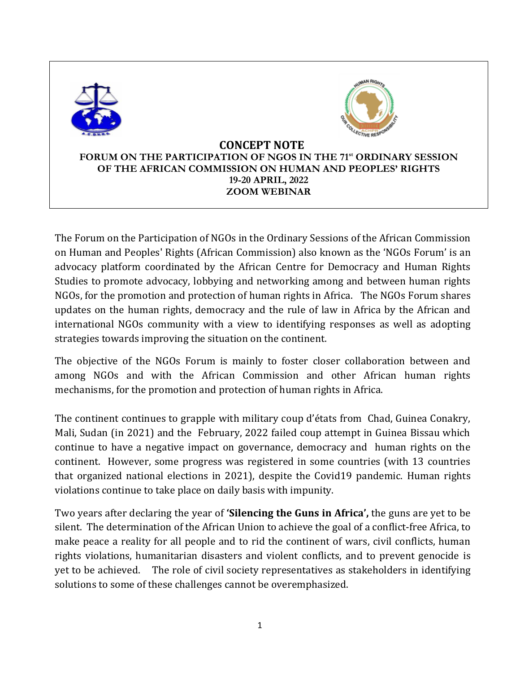

The Forum on the Participation of NGOs in the Ordinary Sessions of the African Commission on Human and Peoples' Rights (African Commission) also known as the 'NGOs Forum' is an advocacy platform coordinated by the African Centre for Democracy and Human Rights Studies to promote advocacy, lobbying and networking among and between human rights NGOs, for the promotion and protection of human rights in Africa. The NGOs Forum shares updates on the human rights, democracy and the rule of law in Africa by the African and international NGOs community with a view to identifying responses as well as adopting strategies towards improving the situation on the continent.

The objective of the NGOs Forum is mainly to foster closer collaboration between and among NGOs and with the African Commission and other African human rights mechanisms, for the promotion and protection of human rights in Africa.

The continent continues to grapple with military coup d'états from Chad, Guinea Conakry, Mali, Sudan (in 2021) and the February, 2022 failed coup attempt in Guinea Bissau which continue to have a negative impact on governance, democracy and human rights on the continent. However, some progress was registered in some countries (with 13 countries that organized national elections in 2021), despite the Covid19 pandemic. Human rights violations continue to take place on daily basis with impunity.

Two years after declaring the year of **'Silencing the Guns in Africa',** the guns are yet to be silent. The determination of the African Union to achieve the goal of a conflict-free Africa, to make peace a reality for all people and to rid the continent of wars, civil conflicts, human rights violations, humanitarian disasters and violent conflicts, and to prevent genocide is yet to be achieved. The role of civil society representatives as stakeholders in identifying solutions to some of these challenges cannot be overemphasized.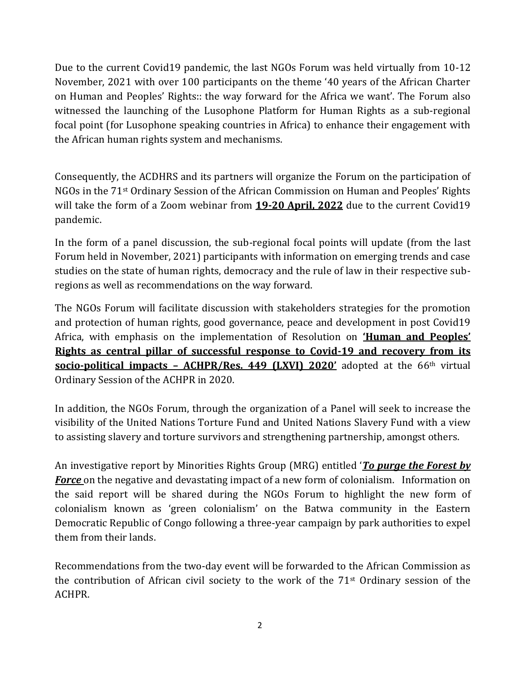Due to the current Covid19 pandemic, the last NGOs Forum was held virtually from 10-12 November, 2021 with over 100 participants on the theme '40 years of the African Charter on Human and Peoples' Rights:: the way forward for the Africa we want'. The Forum also witnessed the launching of the Lusophone Platform for Human Rights as a sub-regional focal point (for Lusophone speaking countries in Africa) to enhance their engagement with the African human rights system and mechanisms.

Consequently, the ACDHRS and its partners will organize the Forum on the participation of NGOs in the 71st Ordinary Session of the African Commission on Human and Peoples' Rights will take the form of a Zoom webinar from **19-20 April, 2022** due to the current Covid19 pandemic.

In the form of a panel discussion, the sub-regional focal points will update (from the last Forum held in November, 2021) participants with information on emerging trends and case studies on the state of human rights, democracy and the rule of law in their respective subregions as well as recommendations on the way forward.

The NGOs Forum will facilitate discussion with stakeholders strategies for the promotion and protection of human rights, good governance, peace and development in post Covid19 Africa, with emphasis on the implementation of Resolution on **'Human and Peoples' Rights as central pillar of successful response to Covid-19 and recovery from its socio-political impacts – ACHPR/Res. 449 (LXVI) 2020'** adopted at the 66th virtual Ordinary Session of the ACHPR in 2020.

In addition, the NGOs Forum, through the organization of a Panel will seek to increase the visibility of the United Nations Torture Fund and United Nations Slavery Fund with a view to assisting slavery and torture survivors and strengthening partnership, amongst others.

An investigative report by Minorities Rights Group (MRG) entitled '*To purge the Forest by Force* on the negative and devastating impact of a new form of colonialism. Information on the said report will be shared during the NGOs Forum to highlight the new form of colonialism known as 'green colonialism' on the Batwa community in the Eastern Democratic Republic of Congo following a three-year campaign by park authorities to expel them from their lands.

Recommendations from the two-day event will be forwarded to the African Commission as the contribution of African civil society to the work of the  $71<sup>st</sup>$  Ordinary session of the ACHPR.